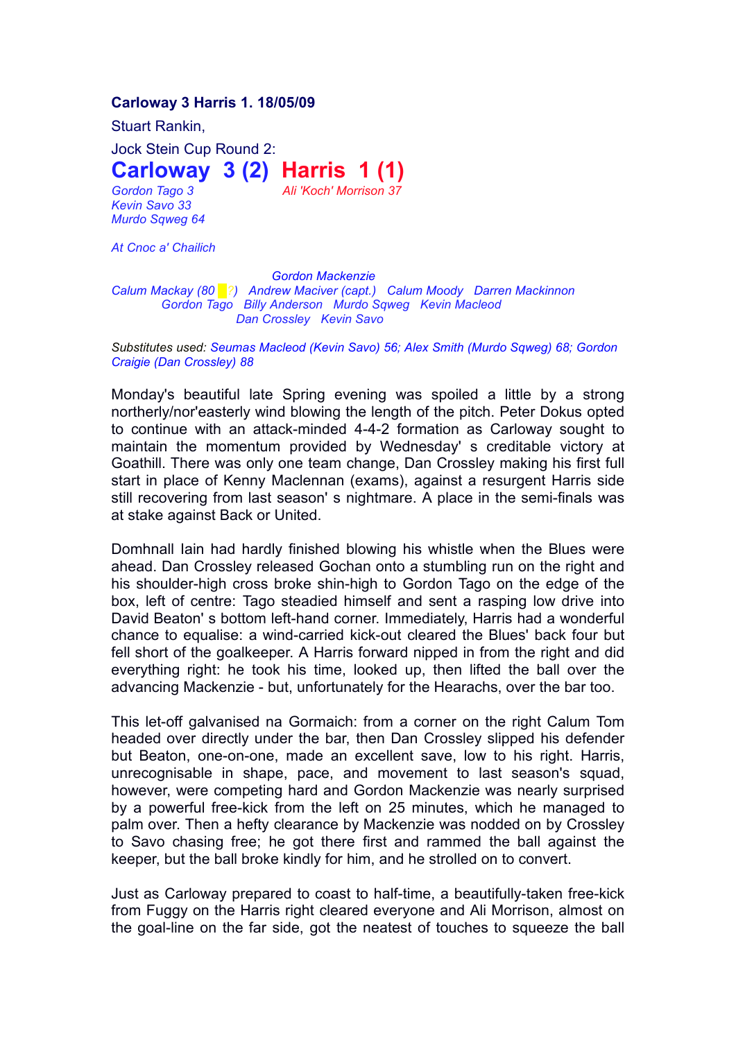## **Carloway 3 Harris 1. 18/05/09**

Stuart Rankin,

Jock Stein Cup Round 2:

**Carloway 3 (2) Harris 1 (1)**

*Gordon Tago 3 Ali 'Koch' Morrison 37 Kevin Savo 33 Murdo Sqweg 64*

*At Cnoc a' Chailich*

*Gordon Mackenzie Calum Mackay (80 █?) Andrew Maciver (capt.) Calum Moody Darren Mackinnon Gordon Tago Billy Anderson Murdo Sqweg Kevin Macleod Dan Crossley Kevin Savo*

*Substitutes used: Seumas Macleod (Kevin Savo) 56; Alex Smith (Murdo Sqweg) 68; Gordon Craigie (Dan Crossley) 88*

Monday's beautiful late Spring evening was spoiled a little by a strong northerly/nor'easterly wind blowing the length of the pitch. Peter Dokus opted to continue with an attack-minded 4-4-2 formation as Carloway sought to maintain the momentum provided by Wednesday' s creditable victory at Goathill. There was only one team change, Dan Crossley making his first full start in place of Kenny Maclennan (exams), against a resurgent Harris side still recovering from last season' s nightmare. A place in the semi-finals was at stake against Back or United.

Domhnall Iain had hardly finished blowing his whistle when the Blues were ahead. Dan Crossley released Gochan onto a stumbling run on the right and his shoulder-high cross broke shin-high to Gordon Tago on the edge of the box, left of centre: Tago steadied himself and sent a rasping low drive into David Beaton' s bottom left-hand corner. Immediately, Harris had a wonderful chance to equalise: a wind-carried kick-out cleared the Blues' back four but fell short of the goalkeeper. A Harris forward nipped in from the right and did everything right: he took his time, looked up, then lifted the ball over the advancing Mackenzie - but, unfortunately for the Hearachs, over the bar too.

This let-off galvanised na Gormaich: from a corner on the right Calum Tom headed over directly under the bar, then Dan Crossley slipped his defender but Beaton, one-on-one, made an excellent save, low to his right. Harris, unrecognisable in shape, pace, and movement to last season's squad, however, were competing hard and Gordon Mackenzie was nearly surprised by a powerful free-kick from the left on 25 minutes, which he managed to palm over. Then a hefty clearance by Mackenzie was nodded on by Crossley to Savo chasing free; he got there first and rammed the ball against the keeper, but the ball broke kindly for him, and he strolled on to convert.

Just as Carloway prepared to coast to half-time, a beautifully-taken free-kick from Fuggy on the Harris right cleared everyone and Ali Morrison, almost on the goal-line on the far side, got the neatest of touches to squeeze the ball